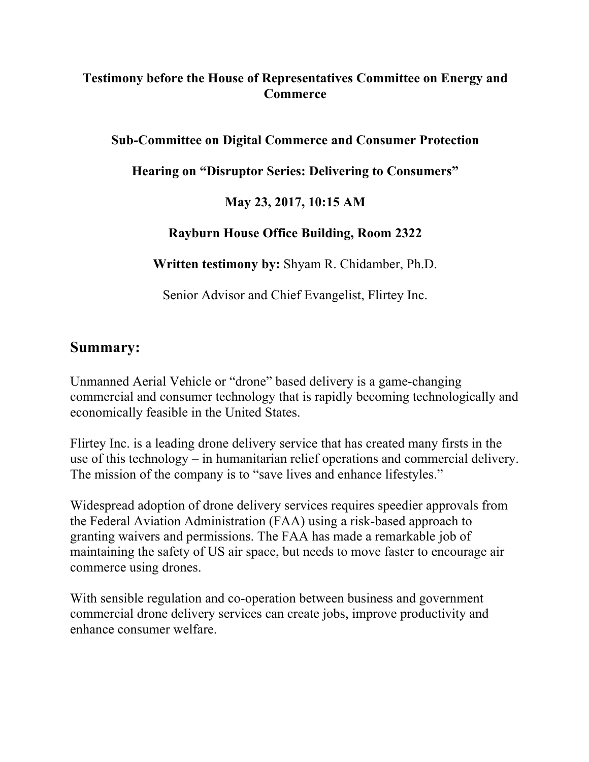## **Testimony before the House of Representatives Committee on Energy and Commerce**

### **Sub-Committee on Digital Commerce and Consumer Protection**

**Hearing on "Disruptor Series: Delivering to Consumers"**

### **May 23, 2017, 10:15 AM**

### **Rayburn House Office Building, Room 2322**

**Written testimony by:** Shyam R. Chidamber, Ph.D.

Senior Advisor and Chief Evangelist, Flirtey Inc.

# **Summary:**

Unmanned Aerial Vehicle or "drone" based delivery is a game-changing commercial and consumer technology that is rapidly becoming technologically and economically feasible in the United States.

Flirtey Inc. is a leading drone delivery service that has created many firsts in the use of this technology – in humanitarian relief operations and commercial delivery. The mission of the company is to "save lives and enhance lifestyles."

Widespread adoption of drone delivery services requires speedier approvals from the Federal Aviation Administration (FAA) using a risk-based approach to granting waivers and permissions. The FAA has made a remarkable job of maintaining the safety of US air space, but needs to move faster to encourage air commerce using drones.

With sensible regulation and co-operation between business and government commercial drone delivery services can create jobs, improve productivity and enhance consumer welfare.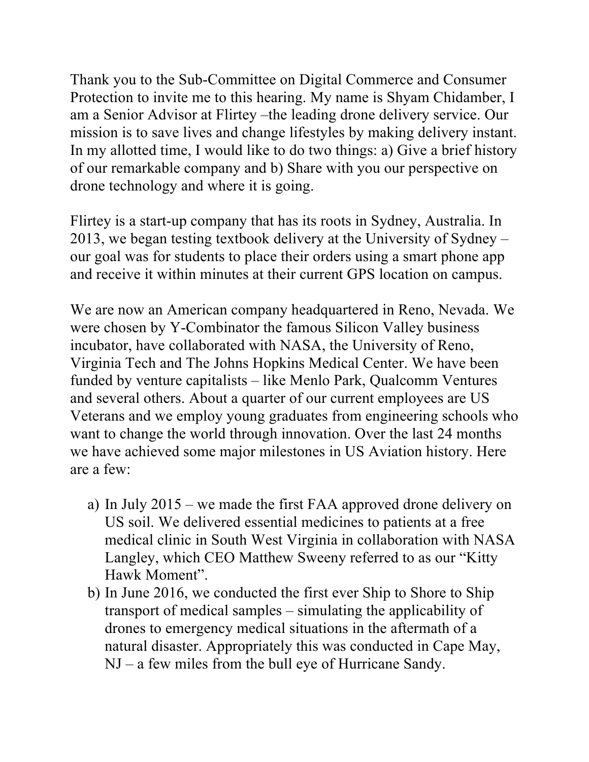Thank you to the Sub-Committee on Digital Commerce and Consumer Protection to invite me to this hearing. My name is Shyam Chidamber, I am a Senior Advisor at Flirtey –the leading drone delivery service. Our mission is to save lives and change lifestyles by making delivery instant. In my allotted time, I would like to do two things: a) Give a brief history of our remarkable company and b) Share with you our perspective on drone technology and where it is going.

Flirtey is a start-up company that has its roots in Sydney, Australia. In 2013, we began testing textbook delivery at the University of Sydney – our goal was for students to place their orders using a smart phone app and receive it within minutes at their current GPS location on campus.

We are now an American company headquartered in Reno, Nevada. We were chosen by Y-Combinator the famous Silicon Valley business incubator, have collaborated with NASA, the University of Reno, Virginia Tech and The Johns Hopkins Medical Center. We have been funded by venture capitalists – like Menlo Park, Qualcomm Ventures and several others. About a quarter of our current employees are US Veterans and we employ young graduates from engineering schools who want to change the world through innovation. Over the last 24 months we have achieved some major milestones in US Aviation history. Here are a few:

- a) In July 2015 we made the first FAA approved drone delivery on US soil. We delivered essential medicines to patients at a free medical clinic in South West Virginia in collaboration with NASA Langley, which CEO Matthew Sweeny referred to as our "Kitty Hawk Moment".
- b) In June 2016, we conducted the first ever Ship to Shore to Ship transport of medical samples – simulating the applicability of drones to emergency medical situations in the aftermath of a natural disaster. Appropriately this was conducted in Cape May, NJ – a few miles from the bull eye of Hurricane Sandy.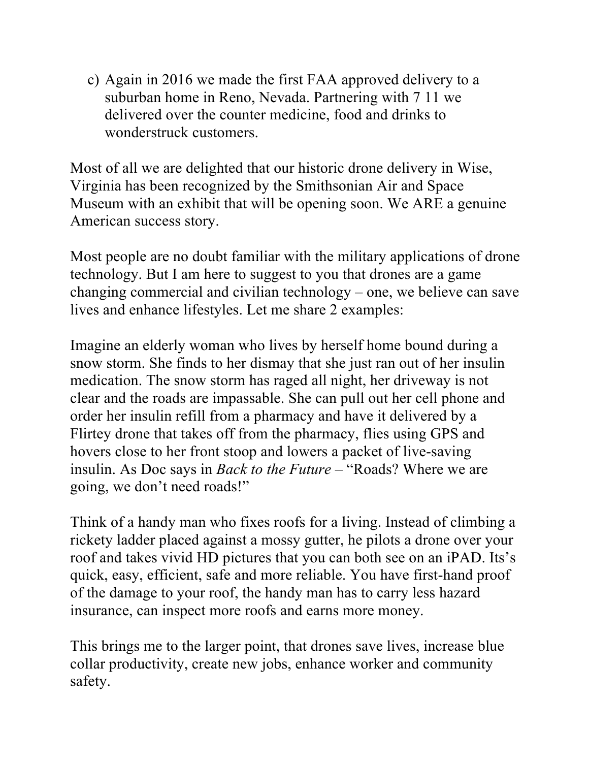c) Again in 2016 we made the first FAA approved delivery to a suburban home in Reno, Nevada. Partnering with 7 11 we delivered over the counter medicine, food and drinks to wonderstruck customers.

Most of all we are delighted that our historic drone delivery in Wise, Virginia has been recognized by the Smithsonian Air and Space Museum with an exhibit that will be opening soon. We ARE a genuine American success story.

Most people are no doubt familiar with the military applications of drone technology. But I am here to suggest to you that drones are a game changing commercial and civilian technology – one, we believe can save lives and enhance lifestyles. Let me share 2 examples:

Imagine an elderly woman who lives by herself home bound during a snow storm. She finds to her dismay that she just ran out of her insulin medication. The snow storm has raged all night, her driveway is not clear and the roads are impassable. She can pull out her cell phone and order her insulin refill from a pharmacy and have it delivered by a Flirtey drone that takes off from the pharmacy, flies using GPS and hovers close to her front stoop and lowers a packet of live-saving insulin. As Doc says in *Back to the Future* – "Roads? Where we are going, we don't need roads!"

Think of a handy man who fixes roofs for a living. Instead of climbing a rickety ladder placed against a mossy gutter, he pilots a drone over your roof and takes vivid HD pictures that you can both see on an iPAD. Its's quick, easy, efficient, safe and more reliable. You have first-hand proof of the damage to your roof, the handy man has to carry less hazard insurance, can inspect more roofs and earns more money.

This brings me to the larger point, that drones save lives, increase blue collar productivity, create new jobs, enhance worker and community safety.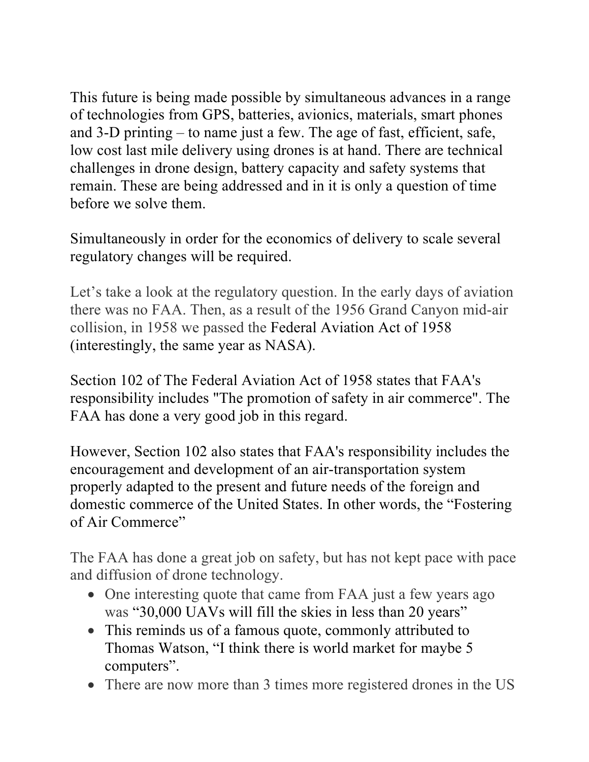This future is being made possible by simultaneous advances in a range of technologies from GPS, batteries, avionics, materials, smart phones and 3-D printing – to name just a few. The age of fast, efficient, safe, low cost last mile delivery using drones is at hand. There are technical challenges in drone design, battery capacity and safety systems that remain. These are being addressed and in it is only a question of time before we solve them.

Simultaneously in order for the economics of delivery to scale several regulatory changes will be required.

Let's take a look at the regulatory question. In the early days of aviation there was no FAA. Then, as a result of the 1956 Grand Canyon mid-air collision, in 1958 we passed the Federal Aviation Act of 1958 (interestingly, the same year as NASA).

Section 102 of The Federal Aviation Act of 1958 states that FAA's responsibility includes "The promotion of safety in air commerce". The FAA has done a very good job in this regard.

However, Section 102 also states that FAA's responsibility includes the encouragement and development of an air-transportation system properly adapted to the present and future needs of the foreign and domestic commerce of the United States. In other words, the "Fostering of Air Commerce"

The FAA has done a great job on safety, but has not kept pace with pace and diffusion of drone technology.

- One interesting quote that came from FAA just a few years ago was "30,000 UAVs will fill the skies in less than 20 years"
- This reminds us of a famous quote, commonly attributed to Thomas Watson, "I think there is world market for maybe 5 computers".
- There are now more than 3 times more registered drones in the US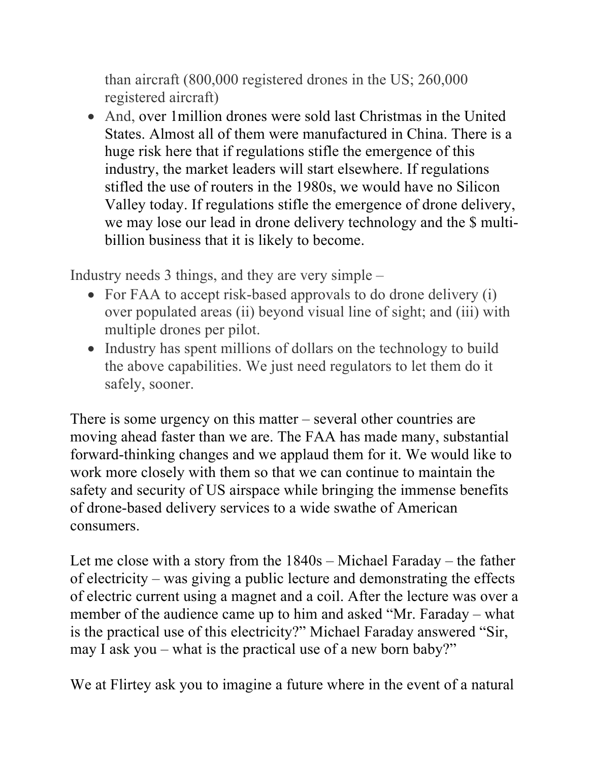than aircraft (800,000 registered drones in the US; 260,000 registered aircraft)

• And, over 1 million drones were sold last Christmas in the United States. Almost all of them were manufactured in China. There is a huge risk here that if regulations stifle the emergence of this industry, the market leaders will start elsewhere. If regulations stifled the use of routers in the 1980s, we would have no Silicon Valley today. If regulations stifle the emergence of drone delivery, we may lose our lead in drone delivery technology and the \$ multibillion business that it is likely to become.

Industry needs 3 things, and they are very simple –

- For FAA to accept risk-based approvals to do drone delivery (i) over populated areas (ii) beyond visual line of sight; and (iii) with multiple drones per pilot.
- Industry has spent millions of dollars on the technology to build the above capabilities. We just need regulators to let them do it safely, sooner.

There is some urgency on this matter – several other countries are moving ahead faster than we are. The FAA has made many, substantial forward-thinking changes and we applaud them for it. We would like to work more closely with them so that we can continue to maintain the safety and security of US airspace while bringing the immense benefits of drone-based delivery services to a wide swathe of American consumers.

Let me close with a story from the 1840s – Michael Faraday – the father of electricity – was giving a public lecture and demonstrating the effects of electric current using a magnet and a coil. After the lecture was over a member of the audience came up to him and asked "Mr. Faraday – what is the practical use of this electricity?" Michael Faraday answered "Sir, may I ask you – what is the practical use of a new born baby?"

We at Flirtey ask you to imagine a future where in the event of a natural